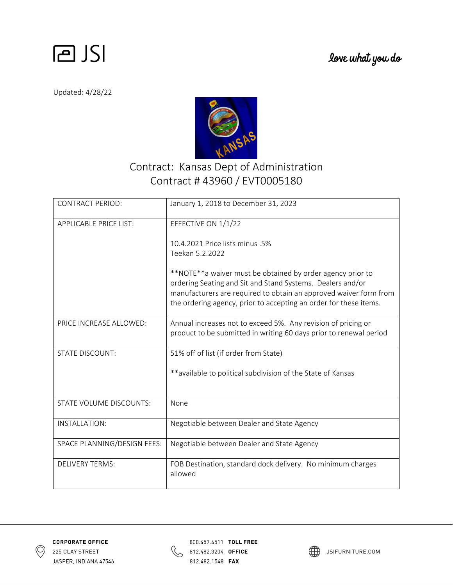

Updated: 4/28/22



## Contract: Kansas Dept of Administration Contract # 43960 / EVT0005180

| <b>CONTRACT PERIOD:</b>       | January 1, 2018 to December 31, 2023                                                                                                                                                                                                                               |
|-------------------------------|--------------------------------------------------------------------------------------------------------------------------------------------------------------------------------------------------------------------------------------------------------------------|
| <b>APPLICABLE PRICE LIST:</b> | EFFECTIVE ON 1/1/22                                                                                                                                                                                                                                                |
|                               | 10.4.2021 Price lists minus .5%<br>Teekan 5.2.2022                                                                                                                                                                                                                 |
|                               | **NOTE**a waiver must be obtained by order agency prior to<br>ordering Seating and Sit and Stand Systems. Dealers and/or<br>manufacturers are required to obtain an approved waiver form from<br>the ordering agency, prior to accepting an order for these items. |
| PRICE INCREASE ALLOWED:       | Annual increases not to exceed 5%. Any revision of pricing or<br>product to be submitted in writing 60 days prior to renewal period                                                                                                                                |
| <b>STATE DISCOUNT:</b>        | 51% off of list (if order from State)                                                                                                                                                                                                                              |
|                               | **available to political subdivision of the State of Kansas                                                                                                                                                                                                        |
| STATE VOLUME DISCOUNTS:       | None                                                                                                                                                                                                                                                               |
| INSTALLATION:                 | Negotiable between Dealer and State Agency                                                                                                                                                                                                                         |
| SPACE PLANNING/DESIGN FEES:   | Negotiable between Dealer and State Agency                                                                                                                                                                                                                         |
| <b>DELIVERY TERMS:</b>        | FOB Destination, standard dock delivery. No minimum charges<br>allowed                                                                                                                                                                                             |